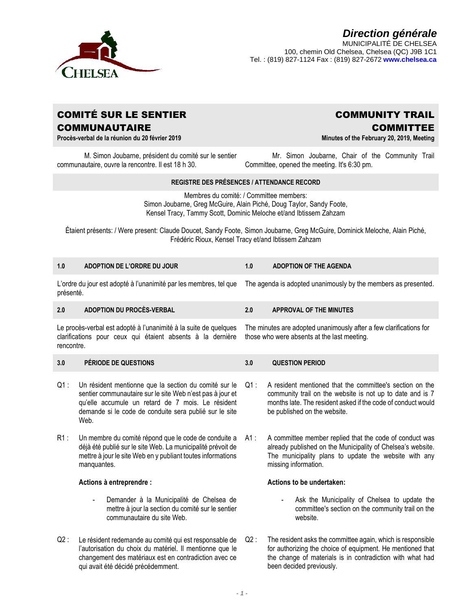

# *Direction générale* MUNICIPALITÉ DE CHELSEA

100, chemin Old Chelsea, Chelsea (QC) J9B 1C1 Tel. : (819) 827-1124 Fax : (819) 827-2672 **www.chelsea.ca**

## COMITÉ SUR LE SENTIER **COMMUNAUTAIRE**

COMMITTEE **Minutes of the February 20, 2019, Meeting**

COMMUNITY TRAIL

**Procès-verbal de la réunion du 20 février 2019**

M. Simon Joubarne, président du comité sur le sentier communautaire, ouvre la rencontre. Il est 18 h 30.

changement des matériaux est en contradiction avec ce

qui avait été décidé précédemment.

Mr. Simon Joubarne, Chair of the Community Trail Committee, opened the meeting. It's 6:30 pm.

the change of materials is in contradiction with what had

been decided previously.

### **REGISTRE DES PRÉSENCES / ATTENDANCE RECORD**

Membres du comité: / Committee members: Simon Joubarne, Greg McGuire, Alain Piché, Doug Taylor, Sandy Foote, Kensel Tracy, Tammy Scott, Dominic Meloche et/and Ibtissem Zahzam

Étaient présents: / Were present: Claude Doucet, Sandy Foote, Simon Joubarne, Greg McGuire, Dominick Meloche, Alain Piché, Frédéric Rioux, Kensel Tracy et/and Ibtissem Zahzam

| 1.0                                                                                                                                          | ADOPTION DE L'ORDRE DU JOUR                                                                                                                                                                                                               | 1.0                                                            | <b>ADOPTION OF THE AGENDA</b>                                                                                                                                                                                         |  |
|----------------------------------------------------------------------------------------------------------------------------------------------|-------------------------------------------------------------------------------------------------------------------------------------------------------------------------------------------------------------------------------------------|----------------------------------------------------------------|-----------------------------------------------------------------------------------------------------------------------------------------------------------------------------------------------------------------------|--|
| L'ordre du jour est adopté à l'unanimité par les membres, tel que<br>présenté.                                                               |                                                                                                                                                                                                                                           | The agenda is adopted unanimously by the members as presented. |                                                                                                                                                                                                                       |  |
| 2.0                                                                                                                                          | <b>ADOPTION DU PROCÈS-VERBAL</b>                                                                                                                                                                                                          | 2.0                                                            | <b>APPROVAL OF THE MINUTES</b>                                                                                                                                                                                        |  |
| Le procès-verbal est adopté à l'unanimité à la suite de quelques<br>clarifications pour ceux qui étaient absents à la dernière<br>rencontre. |                                                                                                                                                                                                                                           |                                                                | The minutes are adopted unanimously after a few clarifications for<br>those who were absents at the last meeting.                                                                                                     |  |
| 3.0                                                                                                                                          | PÉRIODE DE QUESTIONS                                                                                                                                                                                                                      | 3.0                                                            | <b>QUESTION PERIOD</b>                                                                                                                                                                                                |  |
| $Q1$ :                                                                                                                                       | Un résident mentionne que la section du comité sur le<br>sentier communautaire sur le site Web n'est pas à jour et<br>qu'elle accumule un retard de 7 mois. Le résident<br>demande si le code de conduite sera publié sur le site<br>Web. | $Q1$ :                                                         | A resident mentioned that the committee's section on the<br>community trail on the website is not up to date and is 7<br>months late. The resident asked if the code of conduct would<br>be published on the website. |  |
| R1:                                                                                                                                          | Un membre du comité répond que le code de conduite a<br>déjà été publié sur le site Web. La municipalité prévoit de<br>mettre à jour le site Web en y publiant toutes informations<br>manquantes.                                         | A1:                                                            | A committee member replied that the code of conduct was<br>already published on the Municipality of Chelsea's website.<br>The municipality plans to update the website with any<br>missing information.               |  |
|                                                                                                                                              | Actions à entreprendre :                                                                                                                                                                                                                  |                                                                | Actions to be undertaken:                                                                                                                                                                                             |  |
|                                                                                                                                              | Demander à la Municipalité de Chelsea de<br>$\blacksquare$<br>mettre à jour la section du comité sur le sentier<br>communautaire du site Web.                                                                                             |                                                                | Ask the Municipality of Chelsea to update the<br>$\overline{\phantom{a}}$<br>committee's section on the community trail on the<br>website.                                                                            |  |
| Q2:                                                                                                                                          | Le résident redemande au comité qui est responsable de<br>l'autorisation du choix du matériel. Il mentionne que le                                                                                                                        | Q2:                                                            | The resident asks the committee again, which is responsible<br>for authorizing the choice of equipment. He mentioned that                                                                                             |  |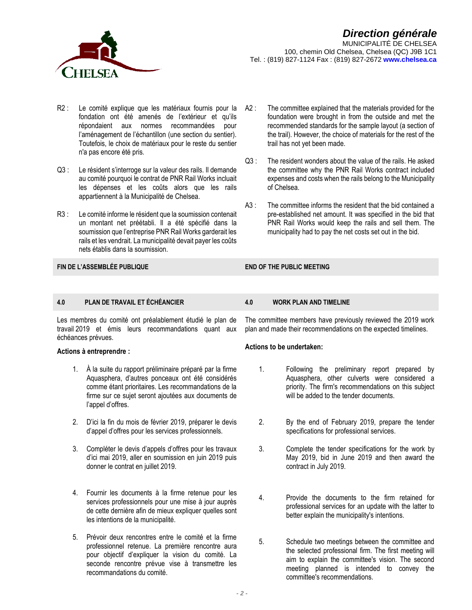

- R2 : Le comité explique que les matériaux fournis pour la A2 : fondation ont été amenés de l'extérieur et qu'ils répondaient aux normes recommandées pour l'aménagement de l'échantillon (une section du sentier). Toutefois, le choix de matériaux pour le reste du sentier n'a pas encore été pris.
- Q3 : Le résident s'interroge sur la valeur des rails. Il demande au comité pourquoi le contrat de PNR Rail Works incluait les dépenses et les coûts alors que les rails appartiennent à la Municipalité de Chelsea.
- R3 : Le comité informe le résident que la soumission contenait un montant net préétabli. Il a été spécifié dans la soumission que l'entreprise PNR Rail Works garderait les rails et les vendrait. La municipalité devait payer les coûts nets établis dans la soumission.

**FIN DE L'ASSEMBLÉE PUBLIQUE END OF THE PUBLIC MEETING**

- The committee explained that the materials provided for the foundation were brought in from the outside and met the recommended standards for the sample layout (a section of the trail). However, the choice of materials for the rest of the trail has not yet been made.
- $Q3$  : The resident wonders about the value of the rails. He asked the committee why the PNR Rail Works contract included expenses and costs when the rails belong to the Municipality of Chelsea.
- $A3:$ The committee informs the resident that the bid contained a pre-established net amount. It was specified in the bid that PNR Rail Works would keep the rails and sell them. The municipality had to pay the net costs set out in the bid.

### **4.0 PLAN DE TRAVAIL ET ÉCHÉANCIER 4.0 WORK PLAN AND TIMELINE**

Les membres du comité ont préalablement étudié le plan de travail 2019 et émis leurs recommandations quant aux échéances prévues.

### **Actions à entreprendre :**

- 1. À la suite du rapport préliminaire préparé par la firme Aquasphera, d'autres ponceaux ont été considérés comme étant prioritaires. Les recommandations de la firme sur ce sujet seront ajoutées aux documents de l'appel d'offres.
- 2. D'ici la fin du mois de février 2019, préparer le devis d'appel d'offres pour les services professionnels.
- 3. Compléter le devis d'appels d'offres pour les travaux d'ici mai 2019, aller en soumission en juin 2019 puis donner le contrat en juillet 2019.
- 4. Fournir les documents à la firme retenue pour les services professionnels pour une mise à jour auprès de cette dernière afin de mieux expliquer quelles sont les intentions de la municipalité.
- 5. Prévoir deux rencontres entre le comité et la firme professionnel retenue. La première rencontre aura pour objectif d'expliquer la vision du comité. La seconde rencontre prévue vise à transmettre les recommandations du comité.

The committee members have previously reviewed the 2019 work plan and made their recommendations on the expected timelines.

### **Actions to be undertaken:**

- 1. Following the preliminary report prepared by Aquasphera, other culverts were considered a priority. The firm's recommendations on this subject will be added to the tender documents.
- 2. By the end of February 2019, prepare the tender specifications for professional services.
- 3. Complete the tender specifications for the work by May 2019, bid in June 2019 and then award the contract in July 2019.
- 4. Provide the documents to the firm retained for professional services for an update with the latter to better explain the municipality's intentions.
- 5. Schedule two meetings between the committee and the selected professional firm. The first meeting will aim to explain the committee's vision. The second meeting planned is intended to convey the committee's recommendations.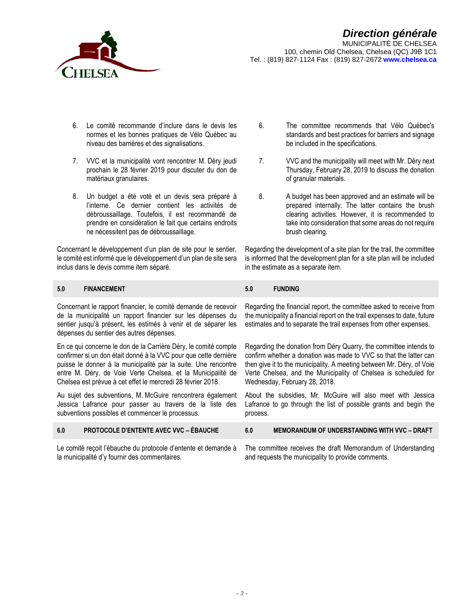

100, chemin Old Chelsea, Chelsea (QC) J9B 1C1 Tel. : (819) 827-1124 Fax : (819) 827-2672 **www.chelsea.ca**

- 6. Le comité recommande d'inclure dans le devis les normes et les bonnes pratiques de Vélo Québec au niveau des barrières et des signalisations.
- 7. VVC et la municipalité vont rencontrer M. Déry jeudi prochain le 28 février 2019 pour discuter du don de matériaux granulaires.
- 8. Un budget a été voté et un devis sera préparé à l'interne. Ce dernier contient les activités de débroussaillage. Toutefois, il est recommandé de prendre en considération le fait que certains endroits ne nécessitent pas de débroussaillage.

Concernant le développement d'un plan de site pour le sentier, le comité est informé que le développement d'un plan de site sera inclus dans le devis comme item séparé.

### **5.0 FINANCEMENT 5.0 FUNDING**

Concernant le rapport financier, le comité demande de recevoir de la municipalité un rapport financier sur les dépenses du sentier jusqu'à présent, les estimés à venir et de séparer les dépenses du sentier des autres dépenses.

En ce qui concerne le don de la Carrière Déry, le comité compte confirmer si un don était donné à la VVC pour que cette dernière puisse le donner à la municipalité par la suite. Une rencontre entre M. Déry, de Voie Verte Chelsea, et la Municipalité de Chelsea est prévue à cet effet le mercredi 28 février 2018.

Au sujet des subventions, M. McGuire rencontrera également Jessica Lafrance pour passer au travers de la liste des subventions possibles et commencer le processus.

- 6. The committee recommends that Vélo Québec's standards and best practices for barriers and signage be included in the specifications.
- 7. VVC and the municipality will meet with Mr. Déry next Thursday, February 28, 2019 to discuss the donation of granular materials.
- 8. A budget has been approved and an estimate will be prepared internally. The latter contains the brush clearing activities. However, it is recommended to take into consideration that some areas do not require brush clearing.

Regarding the development of a site plan for the trail, the committee is informed that the development plan for a site plan will be included in the estimate as a separate item.

Regarding the financial report, the committee asked to receive from the municipality a financial report on the trail expenses to date, future estimates and to separate the trail expenses from other expenses.

Regarding the donation from Déry Quarry, the committee intends to confirm whether a donation was made to VVC so that the latter can then give it to the municipality. A meeting between Mr. Déry, of Voie Verte Chelsea, and the Municipality of Chelsea is scheduled for Wednesday, February 28, 2018.

About the subsidies, Mr. McGuire will also meet with Jessica Lafrance to go through the list of possible grants and begin the process.

| 6.0 | <b>PROTOCOLE D'ENTENTE AVEC VVC - ÉBAUCHE</b>                                                                   | 6.0 | <b>MEMORANDUM OF UNDERSTANDING WITH VVC - DRAFT</b>                                                                |
|-----|-----------------------------------------------------------------------------------------------------------------|-----|--------------------------------------------------------------------------------------------------------------------|
|     | Le comité reçoit l'ébauche du protocole d'entente et demande à<br>la municipalité d'y fournir des commentaires. |     | The committee receives the draft Memorandum of Understanding<br>and requests the municipality to provide comments. |